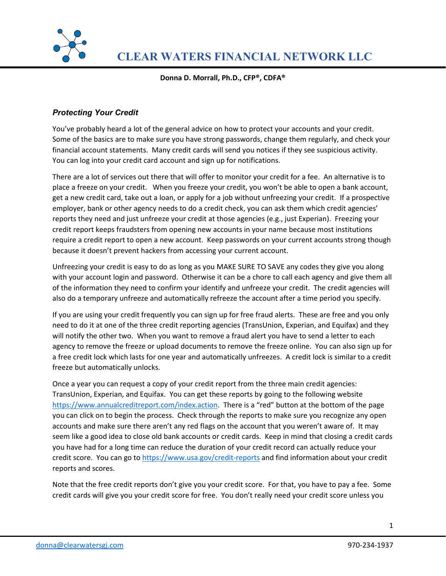

### **Donna D. Morrall, Ph.D., CFP®, CDFA®**

# *Protecting Your Credit*

You've probably heard a lot of the general advice on how to protect your accounts and your credit. Some of the basics are to make sure you have strong passwords, change them regularly, and check your financial account statements. Many credit cards will send you notices if they see suspicious activity. You can log into your credit card account and sign up for notifications.

There are a lot of services out there that will offer to monitor your credit for a fee. An alternative is to place a freeze on your credit. When you freeze your credit, you won't be able to open a bank account, get a new credit card, take out a loan, or apply for a job without unfreezing your credit. If a prospective employer, bank or other agency needs to do a credit check, you can ask them which credit agencies' reports they need and just unfreeze your credit at those agencies (e.g., just Experian). Freezing your credit report keeps fraudsters from opening new accounts in your name because most institutions require a credit report to open a new account. Keep passwords on your current accounts strong though because it doesn't prevent hackers from accessing your current account.

Unfreezing your credit is easy to do as long as you MAKE SURE TO SAVE any codes they give you along with your account login and password. Otherwise it can be a chore to call each agency and give them all of the information they need to confirm your identify and unfreeze your credit. The credit agencies will also do a temporary unfreeze and automatically refreeze the account after a time period you specify.

If you are using your credit frequently you can sign up for free fraud alerts. These are free and you only need to do it at one of the three credit reporting agencies (TransUnion, Experian, and Equifax) and they will notify the other two. When you want to remove a fraud alert you have to send a letter to each agency to remove the freeze or upload documents to remove the freeze online. You can also sign up for a free credit lock which lasts for one year and automatically unfreezes. A credit lock is similar to a credit freeze but automatically unlocks.

Once a year you can request a copy of your credit report from the three main credit agencies: TransUnion, Experian, and Equifax. You can get these reports by going to the following website [https://www.annualcreditreport.com/index.action.](https://www.annualcreditreport.com/index.action) There is a "red" button at the bottom of the page you can click on to begin the process. Check through the reports to make sure you recognize any open accounts and make sure there aren't any red flags on the account that you weren't aware of. It may seem like a good idea to close old bank accounts or credit cards. Keep in mind that closing a credit cards you have had for a long time can reduce the duration of your credit record can actually reduce your credit score. You can go to<https://www.usa.gov/credit-reports> and find information about your credit reports and scores.

Note that the free credit reports don't give you your credit score. For that, you have to pay a fee. Some credit cards will give you your credit score for free. You don't really need your credit score unless you